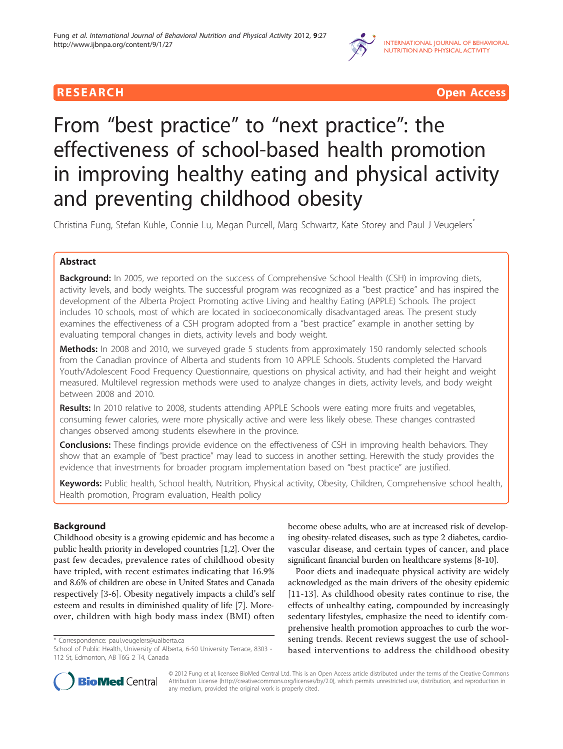

RESEARCH **CONTROLLER CONTROLLER CONTROLLER CONTROLLER CONTROLLER CONTROLLER CONTROLLER CONTROLLER CONTROLLER CONTROLLER CONTROLLER CONTROLLER CONTROLLER CONTROLLER CONTROLLER CONTROLLER CONTROLLER CONTROLLER CONTROLLER CON** 

# From "best practice" to "next practice": the effectiveness of school-based health promotion in improving healthy eating and physical activity and preventing childhood obesity

Christina Fung, Stefan Kuhle, Connie Lu, Megan Purcell, Marg Schwartz, Kate Storey and Paul J Veugelers<sup>\*</sup>

# Abstract

**Background:** In 2005, we reported on the success of Comprehensive School Health (CSH) in improving diets, activity levels, and body weights. The successful program was recognized as a "best practice" and has inspired the development of the Alberta Project Promoting active Living and healthy Eating (APPLE) Schools. The project includes 10 schools, most of which are located in socioeconomically disadvantaged areas. The present study examines the effectiveness of a CSH program adopted from a "best practice" example in another setting by evaluating temporal changes in diets, activity levels and body weight.

Methods: In 2008 and 2010, we surveyed grade 5 students from approximately 150 randomly selected schools from the Canadian province of Alberta and students from 10 APPLE Schools. Students completed the Harvard Youth/Adolescent Food Frequency Questionnaire, questions on physical activity, and had their height and weight measured. Multilevel regression methods were used to analyze changes in diets, activity levels, and body weight between 2008 and 2010.

Results: In 2010 relative to 2008, students attending APPLE Schools were eating more fruits and vegetables, consuming fewer calories, were more physically active and were less likely obese. These changes contrasted changes observed among students elsewhere in the province.

**Conclusions:** These findings provide evidence on the effectiveness of CSH in improving health behaviors. They show that an example of "best practice" may lead to success in another setting. Herewith the study provides the evidence that investments for broader program implementation based on "best practice" are justified.

Keywords: Public health, School health, Nutrition, Physical activity, Obesity, Children, Comprehensive school health, Health promotion, Program evaluation, Health policy

# Background

Childhood obesity is a growing epidemic and has become a public health priority in developed countries [[1,2](#page-7-0)]. Over the past few decades, prevalence rates of childhood obesity have tripled, with recent estimates indicating that 16.9% and 8.6% of children are obese in United States and Canada respectively [[3-6\]](#page-7-0). Obesity negatively impacts a child's self esteem and results in diminished quality of life [[7\]](#page-7-0). Moreover, children with high body mass index (BMI) often

become obese adults, who are at increased risk of developing obesity-related diseases, such as type 2 diabetes, cardiovascular disease, and certain types of cancer, and place significant financial burden on healthcare systems [\[8-10\]](#page-7-0).

Poor diets and inadequate physical activity are widely acknowledged as the main drivers of the obesity epidemic [[11](#page-7-0)-[13\]](#page-7-0). As childhood obesity rates continue to rise, the effects of unhealthy eating, compounded by increasingly sedentary lifestyles, emphasize the need to identify comprehensive health promotion approaches to curb the worsening trends. Recent reviews suggest the use of schoolbased interventions to address the childhood obesity



© 2012 Fung et al; licensee BioMed Central Ltd. This is an Open Access article distributed under the terms of the Creative Commons Attribution License [\(http://creativecommons.org/licenses/by/2.0](http://creativecommons.org/licenses/by/2.0)), which permits unrestricted use, distribution, and reproduction in any medium, provided the original work is properly cited.

<sup>\*</sup> Correspondence: [paul.veugelers@ualberta.ca](mailto:paul.veugelers@ualberta.ca)

School of Public Health, University of Alberta, 6-50 University Terrace, 8303 - 112 St, Edmonton, AB T6G 2 T4, Canada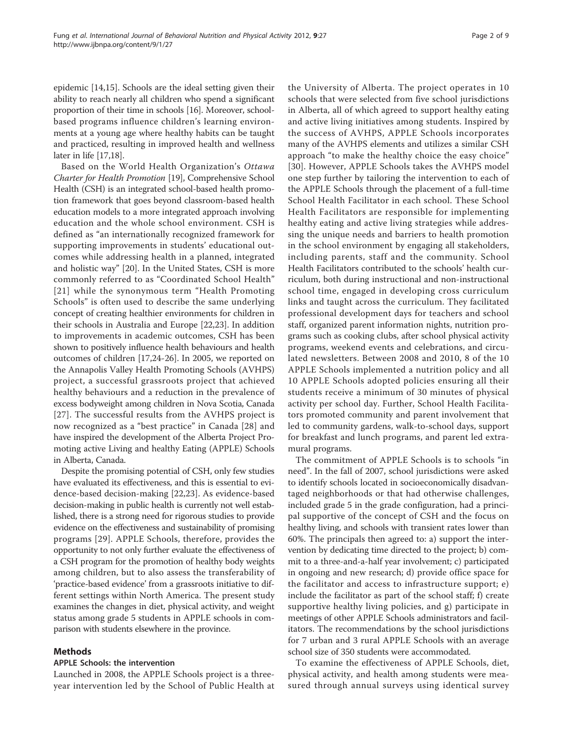epidemic [[14](#page-7-0),[15](#page-7-0)]. Schools are the ideal setting given their ability to reach nearly all children who spend a significant proportion of their time in schools [\[16\]](#page-7-0). Moreover, schoolbased programs influence children's learning environments at a young age where healthy habits can be taught and practiced, resulting in improved health and wellness later in life [\[17,18](#page-7-0)].

Based on the World Health Organization's Ottawa Charter for Health Promotion [[19](#page-7-0)], Comprehensive School Health (CSH) is an integrated school-based health promotion framework that goes beyond classroom-based health education models to a more integrated approach involving education and the whole school environment. CSH is defined as "an internationally recognized framework for supporting improvements in students' educational outcomes while addressing health in a planned, integrated and holistic way" [\[20](#page-7-0)]. In the United States, CSH is more commonly referred to as "Coordinated School Health" [[21\]](#page-7-0) while the synonymous term "Health Promoting Schools" is often used to describe the same underlying concept of creating healthier environments for children in their schools in Australia and Europe [\[22,23](#page-7-0)]. In addition to improvements in academic outcomes, CSH has been shown to positively influence health behaviours and health outcomes of children [\[17,24-26](#page-7-0)]. In 2005, we reported on the Annapolis Valley Health Promoting Schools (AVHPS) project, a successful grassroots project that achieved healthy behaviours and a reduction in the prevalence of excess bodyweight among children in Nova Scotia, Canada [[27](#page-7-0)]. The successful results from the AVHPS project is now recognized as a "best practice" in Canada [[28\]](#page-7-0) and have inspired the development of the Alberta Project Promoting active Living and healthy Eating (APPLE) Schools in Alberta, Canada.

Despite the promising potential of CSH, only few studies have evaluated its effectiveness, and this is essential to evidence-based decision-making [\[22,23](#page-7-0)]. As evidence-based decision-making in public health is currently not well established, there is a strong need for rigorous studies to provide evidence on the effectiveness and sustainability of promising programs [[29\]](#page-7-0). APPLE Schools, therefore, provides the opportunity to not only further evaluate the effectiveness of a CSH program for the promotion of healthy body weights among children, but to also assess the transferability of 'practice-based evidence' from a grassroots initiative to different settings within North America. The present study examines the changes in diet, physical activity, and weight status among grade 5 students in APPLE schools in comparison with students elsewhere in the province.

# **Methods**

# APPLE Schools: the intervention

Launched in 2008, the APPLE Schools project is a threeyear intervention led by the School of Public Health at the University of Alberta. The project operates in 10 schools that were selected from five school jurisdictions in Alberta, all of which agreed to support healthy eating and active living initiatives among students. Inspired by the success of AVHPS, APPLE Schools incorporates many of the AVHPS elements and utilizes a similar CSH approach "to make the healthy choice the easy choice" [[30](#page-7-0)]. However, APPLE Schools takes the AVHPS model one step further by tailoring the intervention to each of the APPLE Schools through the placement of a full-time School Health Facilitator in each school. These School Health Facilitators are responsible for implementing healthy eating and active living strategies while addressing the unique needs and barriers to health promotion in the school environment by engaging all stakeholders, including parents, staff and the community. School Health Facilitators contributed to the schools' health curriculum, both during instructional and non-instructional school time, engaged in developing cross curriculum links and taught across the curriculum. They facilitated professional development days for teachers and school staff, organized parent information nights, nutrition programs such as cooking clubs, after school physical activity programs, weekend events and celebrations, and circulated newsletters. Between 2008 and 2010, 8 of the 10 APPLE Schools implemented a nutrition policy and all 10 APPLE Schools adopted policies ensuring all their students receive a minimum of 30 minutes of physical activity per school day. Further, School Health Facilitators promoted community and parent involvement that led to community gardens, walk-to-school days, support for breakfast and lunch programs, and parent led extramural programs.

The commitment of APPLE Schools is to schools "in need". In the fall of 2007, school jurisdictions were asked to identify schools located in socioeconomically disadvantaged neighborhoods or that had otherwise challenges, included grade 5 in the grade configuration, had a principal supportive of the concept of CSH and the focus on healthy living, and schools with transient rates lower than 60%. The principals then agreed to: a) support the intervention by dedicating time directed to the project; b) commit to a three-and-a-half year involvement; c) participated in ongoing and new research; d) provide office space for the facilitator and access to infrastructure support; e) include the facilitator as part of the school staff; f) create supportive healthy living policies, and g) participate in meetings of other APPLE Schools administrators and facilitators. The recommendations by the school jurisdictions for 7 urban and 3 rural APPLE Schools with an average school size of 350 students were accommodated.

To examine the effectiveness of APPLE Schools, diet, physical activity, and health among students were measured through annual surveys using identical survey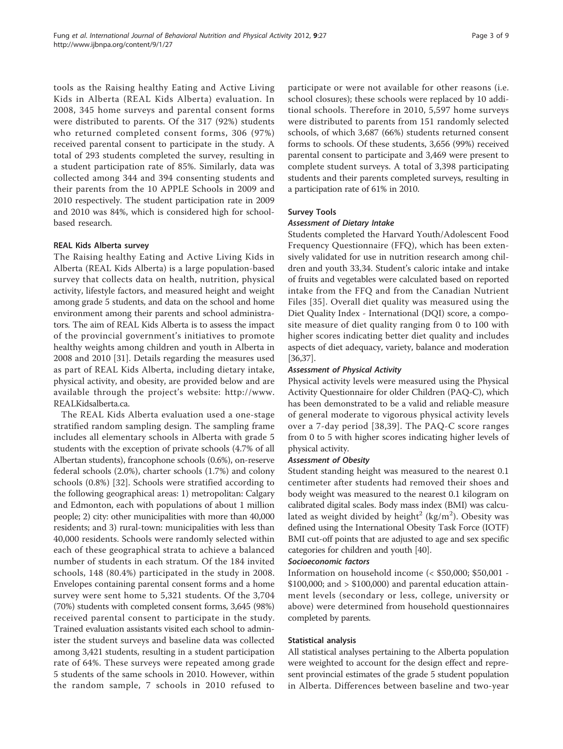tools as the Raising healthy Eating and Active Living Kids in Alberta (REAL Kids Alberta) evaluation. In 2008, 345 home surveys and parental consent forms were distributed to parents. Of the 317 (92%) students who returned completed consent forms, 306 (97%) received parental consent to participate in the study. A total of 293 students completed the survey, resulting in a student participation rate of 85%. Similarly, data was collected among 344 and 394 consenting students and their parents from the 10 APPLE Schools in 2009 and 2010 respectively. The student participation rate in 2009 and 2010 was 84%, which is considered high for schoolbased research.

#### REAL Kids Alberta survey

The Raising healthy Eating and Active Living Kids in Alberta (REAL Kids Alberta) is a large population-based survey that collects data on health, nutrition, physical activity, lifestyle factors, and measured height and weight among grade 5 students, and data on the school and home environment among their parents and school administrators. The aim of REAL Kids Alberta is to assess the impact of the provincial government's initiatives to promote healthy weights among children and youth in Alberta in 2008 and 2010 [\[31](#page-7-0)]. Details regarding the measures used as part of REAL Kids Alberta, including dietary intake, physical activity, and obesity, are provided below and are available through the project's website: [http://www.](http://www.REALKidsalberta.ca) [REALKidsalberta.ca](http://www.REALKidsalberta.ca).

The REAL Kids Alberta evaluation used a one-stage stratified random sampling design. The sampling frame includes all elementary schools in Alberta with grade 5 students with the exception of private schools (4.7% of all Albertan students), francophone schools (0.6%), on-reserve federal schools (2.0%), charter schools (1.7%) and colony schools (0.8%) [\[32](#page-7-0)]. Schools were stratified according to the following geographical areas: 1) metropolitan: Calgary and Edmonton, each with populations of about 1 million people; 2) city: other municipalities with more than 40,000 residents; and 3) rural-town: municipalities with less than 40,000 residents. Schools were randomly selected within each of these geographical strata to achieve a balanced number of students in each stratum. Of the 184 invited schools, 148 (80.4%) participated in the study in 2008. Envelopes containing parental consent forms and a home survey were sent home to 5,321 students. Of the 3,704 (70%) students with completed consent forms, 3,645 (98%) received parental consent to participate in the study. Trained evaluation assistants visited each school to administer the student surveys and baseline data was collected among 3,421 students, resulting in a student participation rate of 64%. These surveys were repeated among grade 5 students of the same schools in 2010. However, within the random sample, 7 schools in 2010 refused to participate or were not available for other reasons (i.e. school closures); these schools were replaced by 10 additional schools. Therefore in 2010, 5,597 home surveys were distributed to parents from 151 randomly selected schools, of which 3,687 (66%) students returned consent forms to schools. Of these students, 3,656 (99%) received parental consent to participate and 3,469 were present to complete student surveys. A total of 3,398 participating students and their parents completed surveys, resulting in a participation rate of 61% in 2010.

### Survey Tools

### Assessment of Dietary Intake

Students completed the Harvard Youth/Adolescent Food Frequency Questionnaire (FFQ), which has been extensively validated for use in nutrition research among children and youth [33](#page-7-0),[34](#page-7-0). Student's caloric intake and intake of fruits and vegetables were calculated based on reported intake from the FFQ and from the Canadian Nutrient Files [[35](#page-7-0)]. Overall diet quality was measured using the Diet Quality Index - International (DQI) score, a composite measure of diet quality ranging from 0 to 100 with higher scores indicating better diet quality and includes aspects of diet adequacy, variety, balance and moderation [[36,37\]](#page-7-0).

# Assessment of Physical Activity

Physical activity levels were measured using the Physical Activity Questionnaire for older Children (PAQ-C), which has been demonstrated to be a valid and reliable measure of general moderate to vigorous physical activity levels over a 7-day period [[38](#page-7-0),[39\]](#page-7-0). The PAQ-C score ranges from 0 to 5 with higher scores indicating higher levels of physical activity.

#### Assessment of Obesity

Student standing height was measured to the nearest 0.1 centimeter after students had removed their shoes and body weight was measured to the nearest 0.1 kilogram on calibrated digital scales. Body mass index (BMI) was calculated as weight divided by height<sup>2</sup> (kg/m<sup>2</sup>). Obesity was defined using the International Obesity Task Force (IOTF) BMI cut-off points that are adjusted to age and sex specific categories for children and youth [\[40\]](#page-7-0).

### Socioeconomic factors

Information on household income (< \$50,000; \$50,001 -  $$100,000$ ; and  $> $100,000$ ) and parental education attainment levels (secondary or less, college, university or above) were determined from household questionnaires completed by parents.

#### Statistical analysis

All statistical analyses pertaining to the Alberta population were weighted to account for the design effect and represent provincial estimates of the grade 5 student population in Alberta. Differences between baseline and two-year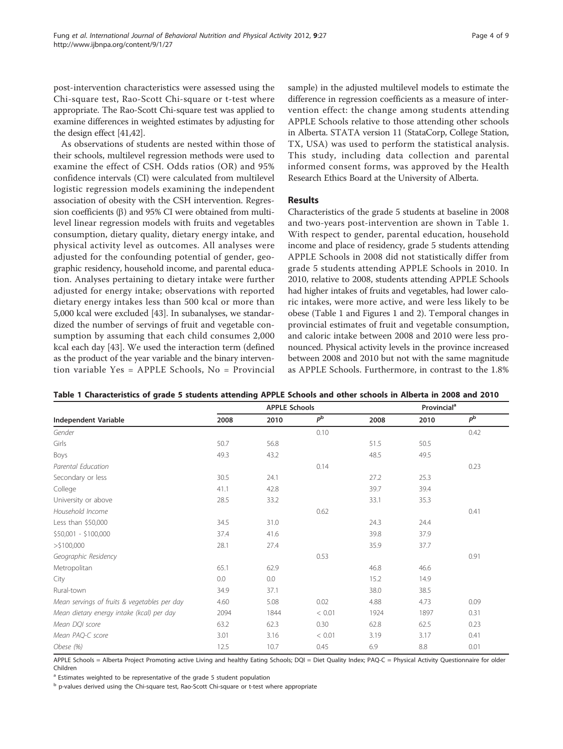<span id="page-3-0"></span>post-intervention characteristics were assessed using the Chi-square test, Rao-Scott Chi-square or t-test where appropriate. The Rao-Scott Chi-square test was applied to examine differences in weighted estimates by adjusting for the design effect [\[41,42](#page-7-0)].

As observations of students are nested within those of their schools, multilevel regression methods were used to examine the effect of CSH. Odds ratios (OR) and 95% confidence intervals (CI) were calculated from multilevel logistic regression models examining the independent association of obesity with the CSH intervention. Regression coefficients  $(\beta)$  and 95% CI were obtained from multilevel linear regression models with fruits and vegetables consumption, dietary quality, dietary energy intake, and physical activity level as outcomes. All analyses were adjusted for the confounding potential of gender, geographic residency, household income, and parental education. Analyses pertaining to dietary intake were further adjusted for energy intake; observations with reported dietary energy intakes less than 500 kcal or more than 5,000 kcal were excluded [\[43\]](#page-7-0). In subanalyses, we standardized the number of servings of fruit and vegetable consumption by assuming that each child consumes 2,000 kcal each day [[43](#page-7-0)]. We used the interaction term (defined as the product of the year variable and the binary intervention variable Yes = APPLE Schools, No = Provincial sample) in the adjusted multilevel models to estimate the difference in regression coefficients as a measure of intervention effect: the change among students attending APPLE Schools relative to those attending other schools in Alberta. STATA version 11 (StataCorp, College Station, TX, USA) was used to perform the statistical analysis. This study, including data collection and parental informed consent forms, was approved by the Health Research Ethics Board at the University of Alberta.

### Results

Characteristics of the grade 5 students at baseline in 2008 and two-years post-intervention are shown in Table 1. With respect to gender, parental education, household income and place of residency, grade 5 students attending APPLE Schools in 2008 did not statistically differ from grade 5 students attending APPLE Schools in 2010. In 2010, relative to 2008, students attending APPLE Schools had higher intakes of fruits and vegetables, had lower caloric intakes, were more active, and were less likely to be obese (Table 1 and Figures [1](#page-4-0) and [2\)](#page-4-0). Temporal changes in provincial estimates of fruit and vegetable consumption, and caloric intake between 2008 and 2010 were less pronounced. Physical activity levels in the province increased between 2008 and 2010 but not with the same magnitude as APPLE Schools. Furthermore, in contrast to the 1.8%

|  |  |  |  | Table 1 Characteristics of grade 5 students attending APPLE Schools and other schools in Alberta in 2008 and 2010 |
|--|--|--|--|-------------------------------------------------------------------------------------------------------------------|
|--|--|--|--|-------------------------------------------------------------------------------------------------------------------|

|                                              |      | <b>APPLE Schools</b> |                |      | Provincial <sup>a</sup> |                |
|----------------------------------------------|------|----------------------|----------------|------|-------------------------|----------------|
| <b>Independent Variable</b>                  | 2008 | 2010                 | P <sub>b</sub> | 2008 | 2010                    | P <sub>b</sub> |
| Gender                                       |      |                      | 0.10           |      |                         | 0.42           |
| Girls                                        | 50.7 | 56.8                 |                | 51.5 | 50.5                    |                |
| Boys                                         | 49.3 | 43.2                 |                | 48.5 | 49.5                    |                |
| Parental Education                           |      |                      | 0.14           |      |                         | 0.23           |
| Secondary or less                            | 30.5 | 24.1                 |                | 27.2 | 25.3                    |                |
| College                                      | 41.1 | 42.8                 |                | 39.7 | 39.4                    |                |
| University or above                          | 28.5 | 33.2                 |                | 33.1 | 35.3                    |                |
| Household Income                             |      |                      | 0.62           |      |                         | 0.41           |
| Less than \$50,000                           | 34.5 | 31.0                 |                | 24.3 | 24.4                    |                |
| \$50,001 - \$100,000                         | 37.4 | 41.6                 |                | 39.8 | 37.9                    |                |
| $>$ \$100,000                                | 28.1 | 27.4                 |                | 35.9 | 37.7                    |                |
| Geographic Residency                         |      |                      | 0.53           |      |                         | 0.91           |
| Metropolitan                                 | 65.1 | 62.9                 |                | 46.8 | 46.6                    |                |
| City                                         | 0.0  | 0.0                  |                | 15.2 | 14.9                    |                |
| Rural-town                                   | 34.9 | 37.1                 |                | 38.0 | 38.5                    |                |
| Mean servings of fruits & vegetables per day | 4.60 | 5.08                 | 0.02           | 4.88 | 4.73                    | 0.09           |
| Mean dietary energy intake (kcal) per day    | 2094 | 1844                 | < 0.01         | 1924 | 1897                    | 0.31           |
| Mean DQI score                               | 63.2 | 62.3                 | 0.30           | 62.8 | 62.5                    | 0.23           |
| Mean PAQ-C score                             | 3.01 | 3.16                 | < 0.01         | 3.19 | 3.17                    | 0.41           |
| Obese (%)                                    | 12.5 | 10.7                 | 0.45           | 6.9  | 8.8                     | 0.01           |

APPLE Schools = Alberta Project Promoting active Living and healthy Eating Schools; DQI = Diet Quality Index; PAQ-C = Physical Activity Questionnaire for older **Children** 

<sup>a</sup> Estimates weighted to be representative of the grade 5 student population

b p-values derived using the Chi-square test, Rao-Scott Chi-square or t-test where appropriate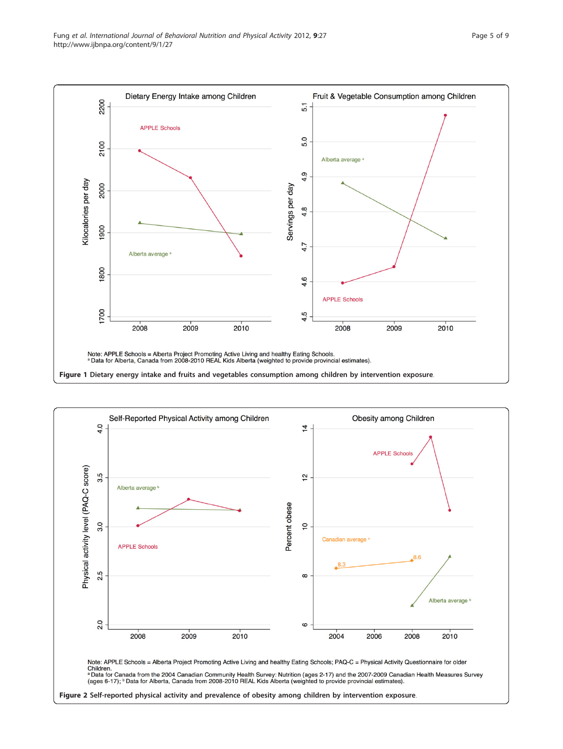<span id="page-4-0"></span>

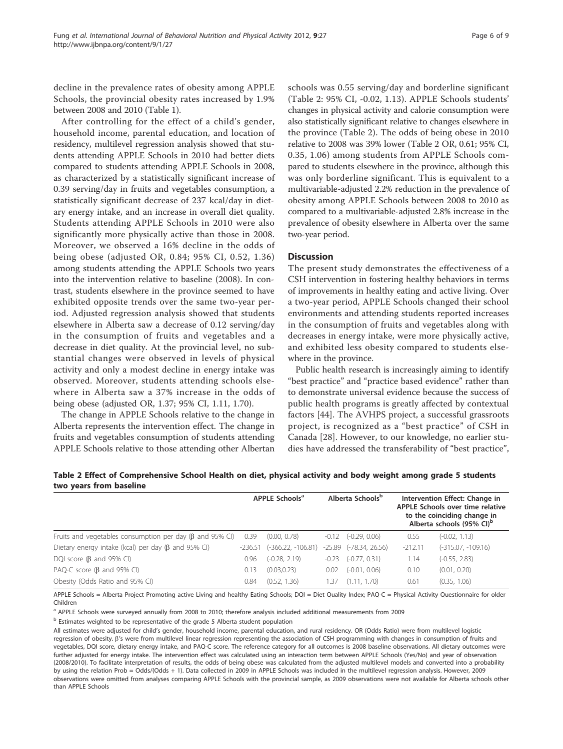decline in the prevalence rates of obesity among APPLE Schools, the provincial obesity rates increased by 1.9% between 2008 and 2010 (Table [1](#page-3-0)).

After controlling for the effect of a child's gender, household income, parental education, and location of residency, multilevel regression analysis showed that students attending APPLE Schools in 2010 had better diets compared to students attending APPLE Schools in 2008, as characterized by a statistically significant increase of 0.39 serving/day in fruits and vegetables consumption, a statistically significant decrease of 237 kcal/day in dietary energy intake, and an increase in overall diet quality. Students attending APPLE Schools in 2010 were also significantly more physically active than those in 2008. Moreover, we observed a 16% decline in the odds of being obese (adjusted OR, 0.84; 95% CI, 0.52, 1.36) among students attending the APPLE Schools two years into the intervention relative to baseline (2008). In contrast, students elsewhere in the province seemed to have exhibited opposite trends over the same two-year period. Adjusted regression analysis showed that students elsewhere in Alberta saw a decrease of 0.12 serving/day in the consumption of fruits and vegetables and a decrease in diet quality. At the provincial level, no substantial changes were observed in levels of physical activity and only a modest decline in energy intake was observed. Moreover, students attending schools elsewhere in Alberta saw a 37% increase in the odds of being obese (adjusted OR, 1.37; 95% CI, 1.11, 1.70).

The change in APPLE Schools relative to the change in Alberta represents the intervention effect. The change in fruits and vegetables consumption of students attending APPLE Schools relative to those attending other Albertan schools was 0.55 serving/day and borderline significant (Table 2: 95% CI, -0.02, 1.13). APPLE Schools students' changes in physical activity and calorie consumption were also statistically significant relative to changes elsewhere in the province (Table 2). The odds of being obese in 2010 relative to 2008 was 39% lower (Table 2 OR, 0.61; 95% CI, 0.35, 1.06) among students from APPLE Schools compared to students elsewhere in the province, although this was only borderline significant. This is equivalent to a multivariable-adjusted 2.2% reduction in the prevalence of obesity among APPLE Schools between 2008 to 2010 as compared to a multivariable-adjusted 2.8% increase in the prevalence of obesity elsewhere in Alberta over the same two-year period.

### **Discussion**

The present study demonstrates the effectiveness of a CSH intervention in fostering healthy behaviors in terms of improvements in healthy eating and active living. Over a two-year period, APPLE Schools changed their school environments and attending students reported increases in the consumption of fruits and vegetables along with decreases in energy intake, were more physically active, and exhibited less obesity compared to students elsewhere in the province.

Public health research is increasingly aiming to identify "best practice" and "practice based evidence" rather than to demonstrate universal evidence because the success of public health programs is greatly affected by contextual factors [[44\]](#page-7-0). The AVHPS project, a successful grassroots project, is recognized as a "best practice" of CSH in Canada [[28\]](#page-7-0). However, to our knowledge, no earlier studies have addressed the transferability of "best practice",

| Table 2 Effect of Comprehensive School Health on diet, physical activity and body weight among grade 5 students |  |  |
|-----------------------------------------------------------------------------------------------------------------|--|--|
| two years from baseline                                                                                         |  |  |

|                                                                 |           | APPLE Schools <sup>a</sup> |         | Alberta Schools <sup>b</sup> | Intervention Effect: Change in<br>APPLE Schools over time relative<br>to the coinciding change in<br>Alberta schools (95% CI) <sup>b</sup> |                      |
|-----------------------------------------------------------------|-----------|----------------------------|---------|------------------------------|--------------------------------------------------------------------------------------------------------------------------------------------|----------------------|
| Fruits and vegetables consumption per day ( $\beta$ and 95% CI) | 0.39      | (0.00, 0.78)               |         | $-0.12$ $(-0.29, 0.06)$      | 0.55                                                                                                                                       | $(-0.02, 1.13)$      |
| Dietary energy intake (kcal) per day $(\beta$ and 95% CI)       | $-236.51$ | (-366.22, -106.81)         |         | $-25.89$ $(-78.34, 26.56)$   | $-212.11$                                                                                                                                  | $(-315.07, -109.16)$ |
| DQI score ( $\beta$ and 95% CI)                                 | 0.96      | $(-0.28, 2.19)$            | $-0.23$ | $(-0.77, 0.31)$              | 1.14                                                                                                                                       | $(-0.55, 2.83)$      |
| PAQ-C score ( $\beta$ and 95% CI)                               | 0.13      | (0.03, 0.23)               | 0.02    | $(-0.01, 0.06)$              | 0.10                                                                                                                                       | (0.01, 0.20)         |
| Obesity (Odds Ratio and 95% CI)                                 | 0.84      | (0.52, 1.36)               | 1.37    | (1.11, 1.70)                 | 0.61                                                                                                                                       | (0.35, 1.06)         |

APPLE Schools = Alberta Project Promoting active Living and healthy Eating Schools; DQI = Diet Quality Index; PAQ-C = Physical Activity Questionnaire for older Children

a APPLE Schools were surveyed annually from 2008 to 2010; therefore analysis included additional measurements from 2009

<sup>b</sup> Estimates weighted to be representative of the grade 5 Alberta student population

All estimates were adjusted for child's gender, household income, parental education, and rural residency. OR (Odds Ratio) were from multilevel logistic regression of obesity. B's were from multilevel linear regression representing the association of CSH programming with changes in consumption of fruits and vegetables, DQI score, dietary energy intake, and PAQ-C score. The reference category for all outcomes is 2008 baseline observations. All dietary outcomes were further adjusted for energy intake. The intervention effect was calculated using an interaction term between APPLE Schools (Yes/No) and year of observation (2008/2010). To facilitate interpretation of results, the odds of being obese was calculated from the adjusted multilevel models and converted into a probability by using the relation Prob = Odds/(Odds + 1). Data collected in 2009 in APPLE Schools was included in the multilevel regression analysis. However, 2009 observations were omitted from analyses comparing APPLE Schools with the provincial sample, as 2009 observations were not available for Alberta schools other than APPLE Schools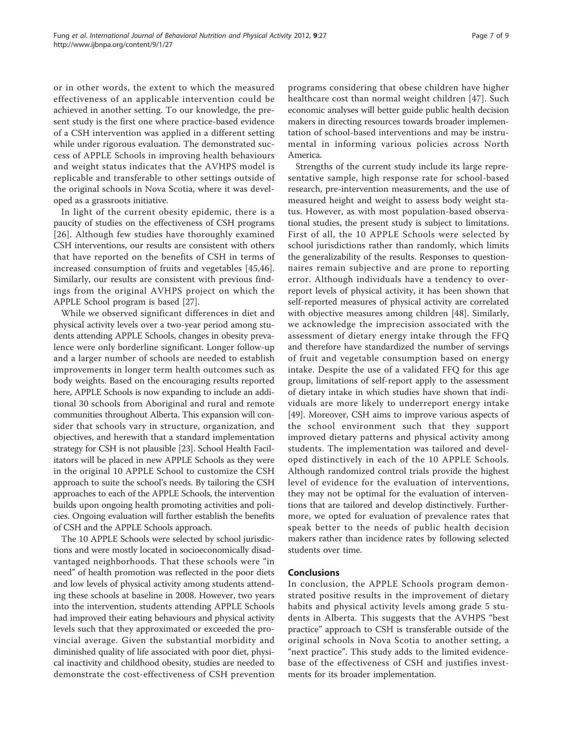or in other words, the extent to which the measured effectiveness of an applicable intervention could be achieved in another setting. To our knowledge, the present study is the first one where practice-based evidence of a CSH intervention was applied in a different setting while under rigorous evaluation. The demonstrated success of APPLE Schools in improving health behaviours and weight status indicates that the AVHPS model is replicable and transferable to other settings outside of the original schools in Nova Scotia, where it was developed as a grassroots initiative.

In light of the current obesity epidemic, there is a paucity of studies on the effectiveness of CSH programs [[26](#page-7-0)]. Although few studies have thoroughly examined CSH interventions, our results are consistent with others that have reported on the benefits of CSH in terms of increased consumption of fruits and vegetables [[45,46](#page-8-0)]. Similarly, our results are consistent with previous findings from the original AVHPS project on which the APPLE School program is based [\[27\]](#page-7-0).

While we observed significant differences in diet and physical activity levels over a two-year period among students attending APPLE Schools, changes in obesity prevalence were only borderline significant. Longer follow-up and a larger number of schools are needed to establish improvements in longer term health outcomes such as body weights. Based on the encouraging results reported here, APPLE Schools is now expanding to include an additional 30 schools from Aboriginal and rural and remote communities throughout Alberta. This expansion will consider that schools vary in structure, organization, and objectives, and herewith that a standard implementation strategy for CSH is not plausible [[23](#page-7-0)]. School Health Facilitators will be placed in new APPLE Schools as they were in the original 10 APPLE School to customize the CSH approach to suite the school's needs. By tailoring the CSH approaches to each of the APPLE Schools, the intervention builds upon ongoing health promoting activities and policies. Ongoing evaluation will further establish the benefits of CSH and the APPLE Schools approach.

The 10 APPLE Schools were selected by school jurisdictions and were mostly located in socioeconomically disadvantaged neighborhoods. That these schools were "in need" of health promotion was reflected in the poor diets and low levels of physical activity among students attending these schools at baseline in 2008. However, two years into the intervention, students attending APPLE Schools had improved their eating behaviours and physical activity levels such that they approximated or exceeded the provincial average. Given the substantial morbidity and diminished quality of life associated with poor diet, physical inactivity and childhood obesity, studies are needed to demonstrate the cost-effectiveness of CSH prevention

programs considering that obese children have higher healthcare cost than normal weight children [\[47](#page-8-0)]. Such economic analyses will better guide public health decision makers in directing resources towards broader implementation of school-based interventions and may be instrumental in informing various policies across North America.

Strengths of the current study include its large representative sample, high response rate for school-based research, pre-intervention measurements, and the use of measured height and weight to assess body weight status. However, as with most population-based observational studies, the present study is subject to limitations. First of all, the 10 APPLE Schools were selected by school jurisdictions rather than randomly, which limits the generalizability of the results. Responses to questionnaires remain subjective and are prone to reporting error. Although individuals have a tendency to overreport levels of physical activity, it has been shown that self-reported measures of physical activity are correlated with objective measures among children [[48\]](#page-8-0). Similarly, we acknowledge the imprecision associated with the assessment of dietary energy intake through the FFQ and therefore have standardized the number of servings of fruit and vegetable consumption based on energy intake. Despite the use of a validated FFQ for this age group, limitations of self-report apply to the assessment of dietary intake in which studies have shown that individuals are more likely to underreport energy intake [[49\]](#page-8-0). Moreover, CSH aims to improve various aspects of the school environment such that they support improved dietary patterns and physical activity among students. The implementation was tailored and developed distinctively in each of the 10 APPLE Schools. Although randomized control trials provide the highest level of evidence for the evaluation of interventions, they may not be optimal for the evaluation of interventions that are tailored and develop distinctively. Furthermore, we opted for evaluation of prevalence rates that speak better to the needs of public health decision makers rather than incidence rates by following selected students over time.

#### Conclusions

In conclusion, the APPLE Schools program demonstrated positive results in the improvement of dietary habits and physical activity levels among grade 5 students in Alberta. This suggests that the AVHPS "best practice" approach to CSH is transferable outside of the original schools in Nova Scotia to another setting, a "next practice". This study adds to the limited evidencebase of the effectiveness of CSH and justifies investments for its broader implementation.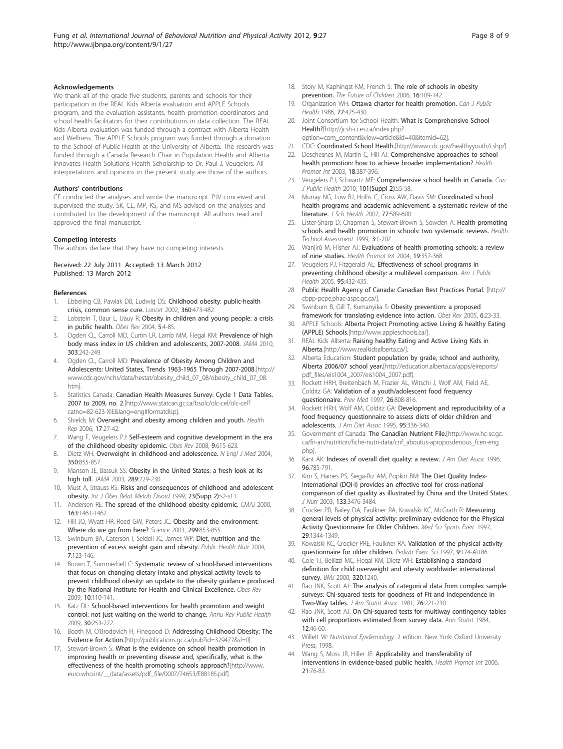#### <span id="page-7-0"></span>Acknowledgements

We thank all of the grade five students, parents and schools for their participation in the REAL Kids Alberta evaluation and APPLE Schools program, and the evaluation assistants, health promotion coordinators and school health facilitators for their contributions in data collection. The REAL Kids Alberta evaluation was funded through a contract with Alberta Health and Wellness. The APPLE Schools program was funded through a donation to the School of Public Health at the University of Alberta. The research was funded through a Canada Research Chair in Population Health and Alberta Innovates Health Solutions Health Scholarship to Dr. Paul J. Veugelers. All interpretations and opinions in the present study are those of the authors.

#### Authors' contributions

CF conducted the analyses and wrote the manuscript. PJV conceived and supervised the study. SK, CL, MP, KS, and MS advised on the analyses and contributed to the development of the manuscript. All authors read and approved the final manuscript.

#### Competing interests

The authors declare that they have no competing interests.

#### Received: 22 July 2011 Accepted: 13 March 2012 Published: 13 March 2012

#### References

- 1. Ebbeling CB, Pawlak DB, Ludwig DS: [Childhood obesity: public-health](http://www.ncbi.nlm.nih.gov/pubmed/12241736?dopt=Abstract) [crisis, common sense cure.](http://www.ncbi.nlm.nih.gov/pubmed/12241736?dopt=Abstract) Lancet 2002, 360:473-482.
- 2. Lobstein T, Baur L, Uauy R: [Obesity in children and young people: a crisis](http://www.ncbi.nlm.nih.gov/pubmed/15096099?dopt=Abstract) [in public health.](http://www.ncbi.nlm.nih.gov/pubmed/15096099?dopt=Abstract) Obes Rev 2004, 5:4-85.
- 3. Ogden CL, Carroll MD, Curtin LR, Lamb MM, Flegal KM: [Prevalence of high](http://www.ncbi.nlm.nih.gov/pubmed/20071470?dopt=Abstract) [body mass index in US children and adolescents, 2007-2008.](http://www.ncbi.nlm.nih.gov/pubmed/20071470?dopt=Abstract) JAMA 2010, 303:242-249.
- 4. Ogden CL, Carroll MD: Prevalence of Obesity Among Children and Adolescents: United States, Trends 1963-1965 Through 2007-2008.[[http://](http://www.cdc.gov/nchs/data/hestat/obesity_child_07_08/obesity_child_07_08.htm) [www.cdc.gov/nchs/data/hestat/obesity\\_child\\_07\\_08/obesity\\_child\\_07\\_08.](http://www.cdc.gov/nchs/data/hestat/obesity_child_07_08/obesity_child_07_08.htm) [htm](http://www.cdc.gov/nchs/data/hestat/obesity_child_07_08/obesity_child_07_08.htm)].
- 5. Statistics Canada: Canadian Health Measures Survey: Cycle 1 Data Tables. 2007 to 2009, no. 2.[[http://www.statcan.gc.ca/bsolc/olc-cel/olc-cel?](http://www.statcan.gc.ca/bsolc/olc-cel/olc-cel?catno=82-623-XIE&lang=eng#formatdisp) [catno=82-623-XIE&lang=eng#formatdisp\]](http://www.statcan.gc.ca/bsolc/olc-cel/olc-cel?catno=82-623-XIE&lang=eng#formatdisp).
- 6. Shields M: [Overweight and obesity among children and youth.](http://www.ncbi.nlm.nih.gov/pubmed/16981484?dopt=Abstract) Health Rep 2006, 17:27-42.
- 7. Wang F, Veugelers PJ: [Self-esteem and cognitive development in the era](http://www.ncbi.nlm.nih.gov/pubmed/18647242?dopt=Abstract) [of the childhood obesity epidemic.](http://www.ncbi.nlm.nih.gov/pubmed/18647242?dopt=Abstract) Obes Rev 2008, 9:615-623.
- 8. Dietz WH: [Overweight in childhood and adolescence.](http://www.ncbi.nlm.nih.gov/pubmed/14985480?dopt=Abstract) N Engl J Med 2004, 350:855-857.
- 9. Manson JE, Bassuk SS: [Obesity in the United States: a fresh look at its](http://www.ncbi.nlm.nih.gov/pubmed/12517236?dopt=Abstract) [high toll.](http://www.ncbi.nlm.nih.gov/pubmed/12517236?dopt=Abstract) JAMA 2003, 289:229-230.
- 10. Must A, Strauss RS: [Risks and consequences of childhood and adolescent](http://www.ncbi.nlm.nih.gov/pubmed/10455464?dopt=Abstract) [obesity.](http://www.ncbi.nlm.nih.gov/pubmed/10455464?dopt=Abstract) Int J Obes Relat Metab Disord 1999, 23(Supp 2):s2-s11.
- 11. Andersen RE: [The spread of the childhood obesity epidemic.](http://www.ncbi.nlm.nih.gov/pubmed/11192651?dopt=Abstract) CMAJ 2000, 163:1461-1462.
- 12. Hill JO, Wyatt HR, Reed GW, Peters JC: [Obesity and the environment:](http://www.ncbi.nlm.nih.gov/pubmed/12574618?dopt=Abstract) [Where do we go from here?](http://www.ncbi.nlm.nih.gov/pubmed/12574618?dopt=Abstract) Science 2003, 299:853-855.
- 13. Swinburn BA, Caterson I, Seidell JC, James WP: [Diet, nutrition and the](http://www.ncbi.nlm.nih.gov/pubmed/14972057?dopt=Abstract) [prevention of excess weight gain and obesity.](http://www.ncbi.nlm.nih.gov/pubmed/14972057?dopt=Abstract) Public Health Nutr 2004, 7:123-146.
- 14. Brown T, Summerbell C: [Systematic review of school-based interventions](http://www.ncbi.nlm.nih.gov/pubmed/18673306?dopt=Abstract) [that focus on changing dietary intake and physical activity levels to](http://www.ncbi.nlm.nih.gov/pubmed/18673306?dopt=Abstract) [prevent childhood obesity: an update to the obesity guidance produced](http://www.ncbi.nlm.nih.gov/pubmed/18673306?dopt=Abstract) [by the National Institute for Health and Clinical Excellence.](http://www.ncbi.nlm.nih.gov/pubmed/18673306?dopt=Abstract) Obes Rev 2009, 10:110-141.
- 15. Katz DL: [School-based interventions for health promotion and weight](http://www.ncbi.nlm.nih.gov/pubmed/19705560?dopt=Abstract) [control: not just waiting on the world to change.](http://www.ncbi.nlm.nih.gov/pubmed/19705560?dopt=Abstract) Annu Rev Public Health 2009, 30:253-272.
- 16. Booth M, O'Brodovich H, Finegood D: Addressing Childhood Obesity: The Evidence for Action.[[http://publications.gc.ca/pub?id=329477&sl=0\]](http://publications.gc.ca/pub?id=329477&sl=0).
- 17. Stewart-Brown S: What is the evidence on school health promotion in improving health or preventing disease and, specifically, what is the effectiveness of the health promoting schools approach?[[http://www.](http://www.euro.who.int/__data/assets/pdf_file/0007/74653/E88185.pdf) [euro.who.int/\\_\\_data/assets/pdf\\_file/0007/74653/E88185.pdf](http://www.euro.who.int/__data/assets/pdf_file/0007/74653/E88185.pdf)].
- 18. Story M, Kaphingst KM, French S: [The role of schools in obesity](http://www.ncbi.nlm.nih.gov/pubmed/16532661?dopt=Abstract) [prevention.](http://www.ncbi.nlm.nih.gov/pubmed/16532661?dopt=Abstract) The Future of Children 2006, 16:109-142.
- 19. Organization WH: [Ottawa charter for health promotion.](http://www.ncbi.nlm.nih.gov/pubmed/3580992?dopt=Abstract) Can J Public Health 1986, 77:425-430.
- 20. Joint Consortium for School Health: What is Comprehensive School Health?[[http://jcsh-cces.ca/index.php?](http://jcsh-cces.ca/index.php?option=com_content&view=article&id=40&Itemid=62)
- [option=com\\_content&view=article&id=40&Itemid=62](http://jcsh-cces.ca/index.php?option=com_content&view=article&id=40&Itemid=62)].
- 21. CDC: Coordinated School Health.[<http://www.cdc.gov/healthyyouth/cshp/>].
- Deschesnes M, Martin C, Hill AJ: [Comprehensive approaches to school](http://www.ncbi.nlm.nih.gov/pubmed/14695370?dopt=Abstract) [health promotion: how to achieve broader implementation?](http://www.ncbi.nlm.nih.gov/pubmed/14695370?dopt=Abstract) Health Promot Int 2003, 18:387-396.
- 23. Veugelers PJ, Schwartz ME: [Comprehensive school health in Canada.](http://www.ncbi.nlm.nih.gov/pubmed/21133195?dopt=Abstract) Can J Public Health 2010, 101(Suppl 2):S5-S8.
- 24. Murray NG, Low BJ, Hollis C, Cross AW, Davis SM: [Coordinated school](http://www.ncbi.nlm.nih.gov/pubmed/17970862?dopt=Abstract) [health programs and academic achievement: a systematic review of the](http://www.ncbi.nlm.nih.gov/pubmed/17970862?dopt=Abstract) [literature.](http://www.ncbi.nlm.nih.gov/pubmed/17970862?dopt=Abstract) J Sch Health 2007, 77:589-600.
- 25. Lister-Sharp D, Chapman S, Stewart-Brown S, Sowden A: Health promoting schools and health promotion in schools: two systematic reviews. Health Technol Assessment 1999, 3:1-207.
- 26. Wanjirũ M, Flisher AJ: [Evaluations of health promoting schools: a review](http://www.ncbi.nlm.nih.gov/pubmed/15306620?dopt=Abstract) [of nine studies.](http://www.ncbi.nlm.nih.gov/pubmed/15306620?dopt=Abstract) Health Promot Int 2004, 19:357-368.
- 27. Veugelers PJ, Fitzgerald AL: [Effectiveness of school programs in](http://www.ncbi.nlm.nih.gov/pubmed/15727972?dopt=Abstract) [preventing childhood obesity: a multilevel comparison.](http://www.ncbi.nlm.nih.gov/pubmed/15727972?dopt=Abstract) Am J Public Health 2005, 95:432-435.
- 28. Public Health Agency of Canada: Canadian Best Practices Portal. [[http://](http://cbpp-pcpe.phac-aspc.gc.ca/) [cbpp-pcpe.phac-aspc.gc.ca/](http://cbpp-pcpe.phac-aspc.gc.ca/)].
- 29. Swinburn B, Gill T, Kumanyika S: [Obesity prevention: a proposed](http://www.ncbi.nlm.nih.gov/pubmed/15655036?dopt=Abstract) [framework for translating evidence into action.](http://www.ncbi.nlm.nih.gov/pubmed/15655036?dopt=Abstract) Obes Rev 2005, 6:23-33.
- 30. APPLE Schools: Alberta Project Promoting active Living & healthy Eating (APPLE) Schools.[[http://www.appleschools.ca/\]](http://www.appleschools.ca/).
- 31. REAL Kids Alberta: Raising healthy Eating and Active Living Kids in Alberta.[\[http://www.realkidsalberta.ca/\]](http://www.realkidsalberta.ca/).
- 32. Alberta Education: Student population by grade, school and authority, Alberta 2006/07 school year.[\[http://education.alberta.ca/apps/eireports/](http://education.alberta.ca/apps/eireports/pdf_files/eis1004_2007/eis1004_2007.pdf) [pdf\\_files/eis1004\\_2007/eis1004\\_2007.pdf\]](http://education.alberta.ca/apps/eireports/pdf_files/eis1004_2007/eis1004_2007.pdf).
- 33. Rockett HRH, Breitenbach M, Frazier AL, Witschi J, Wolf AM, Field AE, Colditz GA: [Validation of a youth/adolescent food frequency](http://www.ncbi.nlm.nih.gov/pubmed/9388792?dopt=Abstract) [questionnaire.](http://www.ncbi.nlm.nih.gov/pubmed/9388792?dopt=Abstract) Prev Med 1997, 26:808-816.
- 34. Rockett HRH, Wolf AM, Colditz GA: [Development and reproducibility of a](http://www.ncbi.nlm.nih.gov/pubmed/7860946?dopt=Abstract) [food frequency questionnaire to assess diets of older children and](http://www.ncbi.nlm.nih.gov/pubmed/7860946?dopt=Abstract) [adolescents.](http://www.ncbi.nlm.nih.gov/pubmed/7860946?dopt=Abstract) J Am Diet Assoc 1995, 95:336-340.
- 35. Government of Canada: The Canadian Nutrient File.[[http://www.hc-sc.gc.](http://www.hc-sc.gc.ca/fn-an/nutrition/fiche-nutri-data/cnf_aboutus-aproposdenous_fcen-eng.php) [ca/fn-an/nutrition/fiche-nutri-data/cnf\\_aboutus-aproposdenous\\_fcen-eng.](http://www.hc-sc.gc.ca/fn-an/nutrition/fiche-nutri-data/cnf_aboutus-aproposdenous_fcen-eng.php) [php](http://www.hc-sc.gc.ca/fn-an/nutrition/fiche-nutri-data/cnf_aboutus-aproposdenous_fcen-eng.php)].
- 36. Kant AK: [Indexes of overall diet quality: a review.](http://www.ncbi.nlm.nih.gov/pubmed/8683010?dopt=Abstract) J Am Diet Assoc 1996, 96:785-791.
- 37. Kim S, Haines PS, Siega-Riz AM, Popkin BM: [The Diet Quality Index-](http://www.ncbi.nlm.nih.gov/pubmed/14608061?dopt=Abstract)[International \(DQI-I\) provides an effective tool for cross-national](http://www.ncbi.nlm.nih.gov/pubmed/14608061?dopt=Abstract) [comparison of diet quality as illustrated by China and the United States.](http://www.ncbi.nlm.nih.gov/pubmed/14608061?dopt=Abstract) J Nutr 2003, 133:3476-3484.
- 38. Crocker PR, Bailey DA, Faulkner RA, Kowalski KC, McGrath R: [Measuring](http://www.ncbi.nlm.nih.gov/pubmed/9346166?dopt=Abstract) [general levels of physical activity: preliminary evidence for the Physical](http://www.ncbi.nlm.nih.gov/pubmed/9346166?dopt=Abstract) [Activity Questionnaire for Older Children.](http://www.ncbi.nlm.nih.gov/pubmed/9346166?dopt=Abstract) Med Sci Sports Exerc 1997, 29:1344-1349.
- 39. Kowalski KC, Crocker PRE, Faulkner RA: Validation of the physical activity questionnaire for older children. Pediatr Exerc Sci 1997, 9:174-Äì186.
- 40. Cole TJ, Bellizzi MC, Flegal KM, Dietz WH: [Establishing a standard](http://www.ncbi.nlm.nih.gov/pubmed/10797032?dopt=Abstract) [definition for child overweight and obesity worldwide: international](http://www.ncbi.nlm.nih.gov/pubmed/10797032?dopt=Abstract) [survey.](http://www.ncbi.nlm.nih.gov/pubmed/10797032?dopt=Abstract) BMJ 2000, 320:1240.
- 41. Rao JNK, Scott AJ: The analysis of categorical data from complex sample surveys: Chi-squared tests for goodness of Fit and independence in Two-Way tables. J Am Statist Assoc 1981, 76:221-230.
- 42. Rao JNK, Scott AJ: On Chi-squared tests for multiway contingency tables with cell proportions estimated from survey data. Ann Statist 1984, 12:46-60.
- 43. Willett W: Nutritional Epidemiology. 2 edition. New York: Oxford University Press; 1998.
- Wang S, Moss JR, Hiller JE: [Applicability and transferability of](http://www.ncbi.nlm.nih.gov/pubmed/16249192?dopt=Abstract) [interventions in evidence-based public health.](http://www.ncbi.nlm.nih.gov/pubmed/16249192?dopt=Abstract) Health Promot Int 2006, 21:76-83.